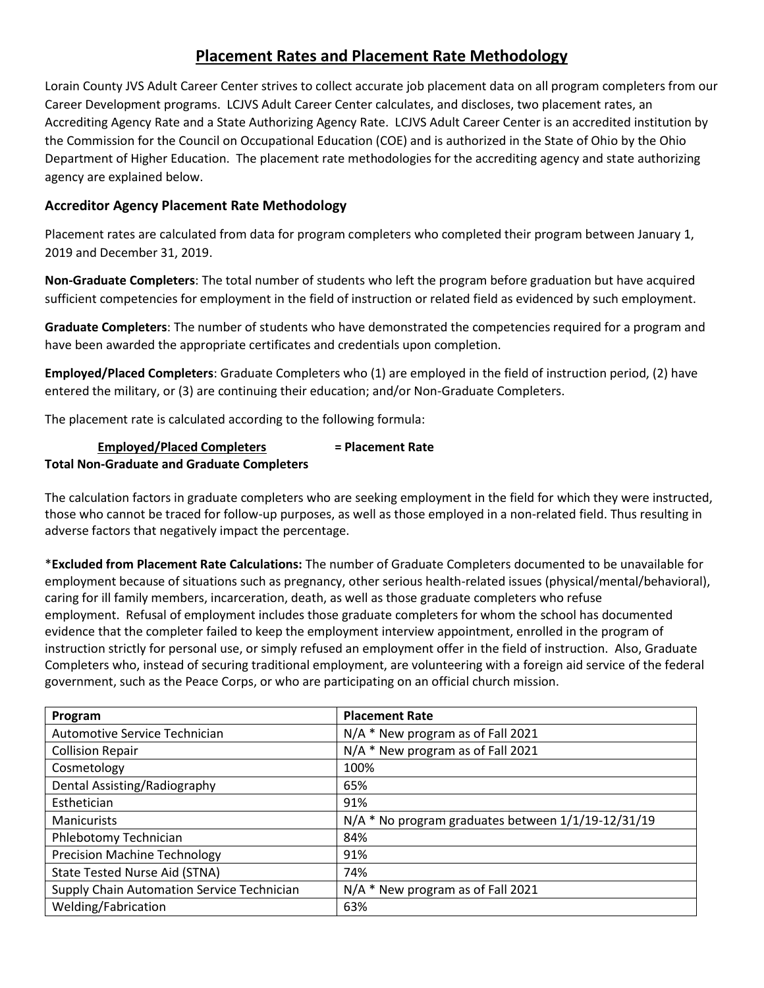## **Placement Rates and Placement Rate Methodology**

Lorain County JVS Adult Career Center strives to collect accurate job placement data on all program completers from our Career Development programs. LCJVS Adult Career Center calculates, and discloses, two placement rates, an Accrediting Agency Rate and a State Authorizing Agency Rate. LCJVS Adult Career Center is an accredited institution by the Commission for the Council on Occupational Education (COE) and is authorized in the State of Ohio by the Ohio Department of Higher Education. The placement rate methodologies for the accrediting agency and state authorizing agency are explained below.

## **Accreditor Agency Placement Rate Methodology**

Placement rates are calculated from data for program completers who completed their program between January 1, 2019 and December 31, 2019.

**Non-Graduate Completers**: The total number of students who left the program before graduation but have acquired sufficient competencies for employment in the field of instruction or related field as evidenced by such employment.

**Graduate Completers**: The number of students who have demonstrated the competencies required for a program and have been awarded the appropriate certificates and credentials upon completion.

**Employed/Placed Completers**: Graduate Completers who (1) are employed in the field of instruction period, (2) have entered the military, or (3) are continuing their education; and/or Non-Graduate Completers.

The placement rate is calculated according to the following formula:

| <b>Employed/Placed Completers</b>                 | = Placement Rate |
|---------------------------------------------------|------------------|
| <b>Total Non-Graduate and Graduate Completers</b> |                  |

The calculation factors in graduate completers who are seeking employment in the field for which they were instructed, those who cannot be traced for follow-up purposes, as well as those employed in a non-related field. Thus resulting in adverse factors that negatively impact the percentage.

\***Excluded from Placement Rate Calculations:** The number of Graduate Completers documented to be unavailable for employment because of situations such as pregnancy, other serious health-related issues (physical/mental/behavioral), caring for ill family members, incarceration, death, as well as those graduate completers who refuse employment. Refusal of employment includes those graduate completers for whom the school has documented evidence that the completer failed to keep the employment interview appointment, enrolled in the program of instruction strictly for personal use, or simply refused an employment offer in the field of instruction. Also, Graduate Completers who, instead of securing traditional employment, are volunteering with a foreign aid service of the federal government, such as the Peace Corps, or who are participating on an official church mission.

| Program                                    | <b>Placement Rate</b>                              |
|--------------------------------------------|----------------------------------------------------|
| Automotive Service Technician              | N/A * New program as of Fall 2021                  |
| <b>Collision Repair</b>                    | N/A * New program as of Fall 2021                  |
| Cosmetology                                | 100%                                               |
| Dental Assisting/Radiography               | 65%                                                |
| Esthetician                                | 91%                                                |
| <b>Manicurists</b>                         | N/A * No program graduates between 1/1/19-12/31/19 |
| Phlebotomy Technician                      | 84%                                                |
| <b>Precision Machine Technology</b>        | 91%                                                |
| State Tested Nurse Aid (STNA)              | 74%                                                |
| Supply Chain Automation Service Technician | N/A * New program as of Fall 2021                  |
| Welding/Fabrication                        | 63%                                                |